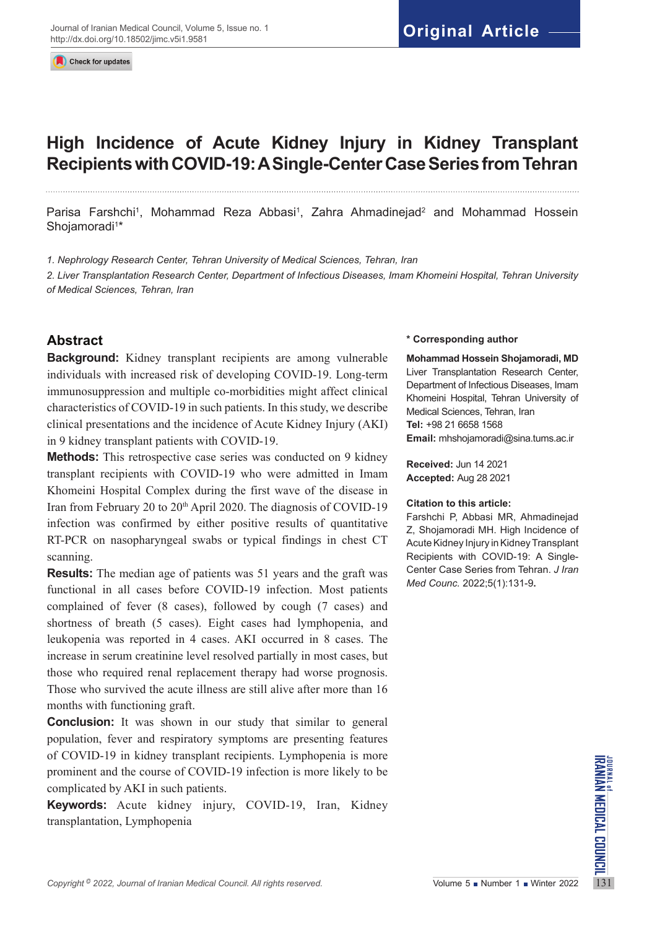Check for updates

# **High Incidence of Acute Kidney Injury in Kidney Transplant Recipients with COVID-19: A Single-Center Case Series from Tehran**

Parisa Farshchi<sup>1</sup>, Mohammad Reza Abbasi<sup>1</sup>, Zahra Ahmadinejad<sup>2</sup> and Mohammad Hossein Shojamoradi<sup>1</sup>\*

*1. Nephrology Research Center, Tehran University of Medical Sciences, Tehran, Iran*

*2. Liver Transplantation Research Center, Department of Infectious Diseases, Imam Khomeini Hospital, Tehran University of Medical Sciences, Tehran, Iran*

## **Abstract**

**Background:** Kidney transplant recipients are among vulnerable individuals with increased risk of developing COVID-19. Long-term immunosuppression and multiple co-morbidities might affect clinical characteristics of COVID-19 in such patients. In this study, we describe clinical presentations and the incidence of Acute Kidney Injury (AKI) in 9 kidney transplant patients with COVID-19.

**Methods:** This retrospective case series was conducted on 9 kidney transplant recipients with COVID-19 who were admitted in Imam Khomeini Hospital Complex during the first wave of the disease in Iran from February 20 to 20<sup>th</sup> April 2020. The diagnosis of COVID-19 infection was confirmed by either positive results of quantitative RT-PCR on nasopharyngeal swabs or typical findings in chest CT scanning.

**Results:** The median age of patients was 51 years and the graft was functional in all cases before COVID-19 infection. Most patients complained of fever (8 cases), followed by cough (7 cases) and shortness of breath (5 cases). Eight cases had lymphopenia, and leukopenia was reported in 4 cases. AKI occurred in 8 cases. The increase in serum creatinine level resolved partially in most cases, but those who required renal replacement therapy had worse prognosis. Those who survived the acute illness are still alive after more than 16 months with functioning graft.

*Covid-19* in kidney transplant recipients. Lymphopenia is more<br>
prominent and the course of COVID-19 infection is more likely to be<br> **Copyright 2022**, Journal of Iranian Medical Council. All rights reserved.<br>
Copyright <sup>0</sup> **Conclusion:** It was shown in our study that similar to general population, fever and respiratory symptoms are presenting features of COVID-19 in kidney transplant recipients. Lymphopenia is more prominent and the course of COVID-19 infection is more likely to be complicated by AKI in such patients.

**Keywords:** Acute kidney injury, COVID-19, Iran, Kidney transplantation, Lymphopenia

#### **\* Corresponding author**

**Mohammad Hossein Shojamoradi, MD** Liver Transplantation Research Center, Department of Infectious Diseases, Imam Khomeini Hospital, Tehran University of Medical Sciences, Tehran, Iran **Tel:** +98 21 6658 1568 **Email:** mhshojamoradi@sina.tums.ac.ir

**Received:** Jun 14 2021 **Accepted:** Aug 28 2021

#### **Citation to this article:**

Farshchi P, Abbasi MR, Ahmadinejad Z, Shojamoradi MH. High Incidence of Acute Kidney Injury in Kidney Transplant Recipients with COVID-19: A Single-Center Case Series from Tehran. *J Iran Med Counc.* 2022;5(1):131-9**.**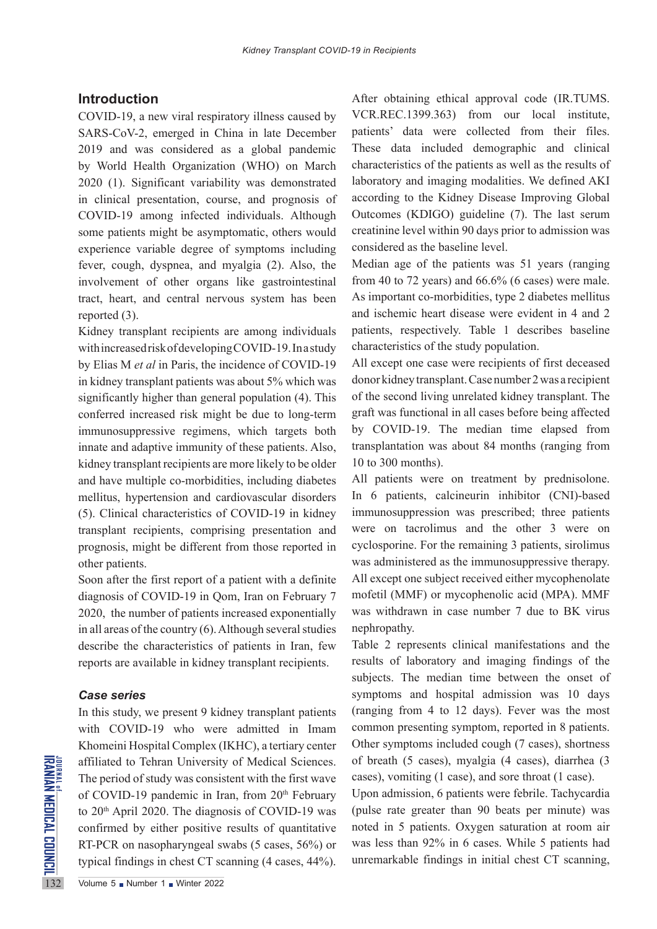## **Introduction**

COVID-19, a new viral respiratory illness caused by SARS-CoV-2, emerged in China in late December 2019 and was considered as a global pandemic by World Health Organization (WHO) on March 2020 (1). Significant variability was demonstrated in clinical presentation, course, and prognosis of COVID-19 among infected individuals. Although some patients might be asymptomatic, others would experience variable degree of symptoms including fever, cough, dyspnea, and myalgia (2). Also, the involvement of other organs like gastrointestinal tract, heart, and central nervous system has been reported (3).

Kidney transplant recipients are among individuals with increased risk of developing COVID-19. In a study by Elias M *et al* in Paris, the incidence of COVID-19 in kidney transplant patients was about 5% which was significantly higher than general population (4). This conferred increased risk might be due to long-term immunosuppressive regimens, which targets both innate and adaptive immunity of these patients. Also, kidney transplant recipients are more likely to be older and have multiple co-morbidities, including diabetes mellitus, hypertension and cardiovascular disorders (5). Clinical characteristics of COVID-19 in kidney transplant recipients, comprising presentation and prognosis, might be different from those reported in other patients.

Soon after the first report of a patient with a definite diagnosis of COVID-19 in Qom, Iran on February 7 2020, the number of patients increased exponentially in all areas of the country (6). Although several studies describe the characteristics of patients in Iran, few reports are available in kidney transplant recipients.

### *Case series*

affiliated to Tehran University<br>
The period of study was consisted<br>
The period of study was consisted<br>
The COVID-19 pandemic in Ir<br>
to 20<sup>th</sup> April 2020. The diagno<br>
confirmed by either positive<br>
RT-PCR on nasopharyngeal s In this study, we present 9 kidney transplant patients with COVID-19 who were admitted in Imam Khomeini Hospital Complex (IKHC), a tertiary center affiliated to Tehran University of Medical Sciences. The period of study was consistent with the first wave of COVID-19 pandemic in Iran, from 20<sup>th</sup> February to 20<sup>th</sup> April 2020. The diagnosis of COVID-19 was confirmed by either positive results of quantitative RT-PCR on nasopharyngeal swabs (5 cases, 56%) or typical findings in chest CT scanning (4 cases, 44%).

After obtaining ethical approval code (IR.TUMS. VCR.REC.1399.363) from our local institute, patients' data were collected from their files. These data included demographic and clinical characteristics of the patients as well as the results of laboratory and imaging modalities. We defined AKI according to the Kidney Disease Improving Global Outcomes (KDIGO) guideline (7). The last serum creatinine level within 90 days prior to admission was considered as the baseline level.

Median age of the patients was 51 years (ranging from 40 to 72 years) and 66.6% (6 cases) were male. As important co-morbidities, type 2 diabetes mellitus and ischemic heart disease were evident in 4 and 2 patients, respectively. Table 1 describes baseline characteristics of the study population.

All except one case were recipients of first deceased donor kidney transplant. Case number 2 was a recipient of the second living unrelated kidney transplant. The graft was functional in all cases before being affected by COVID-19. The median time elapsed from transplantation was about 84 months (ranging from 10 to 300 months).

All patients were on treatment by prednisolone. In 6 patients, calcineurin inhibitor (CNI)-based immunosuppression was prescribed; three patients were on tacrolimus and the other 3 were on cyclosporine. For the remaining 3 patients, sirolimus was administered as the immunosuppressive therapy. All except one subject received either mycophenolate mofetil (MMF) or mycophenolic acid (MPA). MMF was withdrawn in case number 7 due to BK virus nephropathy.

Table 2 represents clinical manifestations and the results of laboratory and imaging findings of the subjects. The median time between the onset of symptoms and hospital admission was 10 days (ranging from 4 to 12 days). Fever was the most common presenting symptom, reported in 8 patients. Other symptoms included cough (7 cases), shortness of breath (5 cases), myalgia (4 cases), diarrhea (3 cases), vomiting (1 case), and sore throat (1 case).

Upon admission, 6 patients were febrile. Tachycardia (pulse rate greater than 90 beats per minute) was noted in 5 patients. Oxygen saturation at room air was less than 92% in 6 cases. While 5 patients had unremarkable findings in initial chest CT scanning,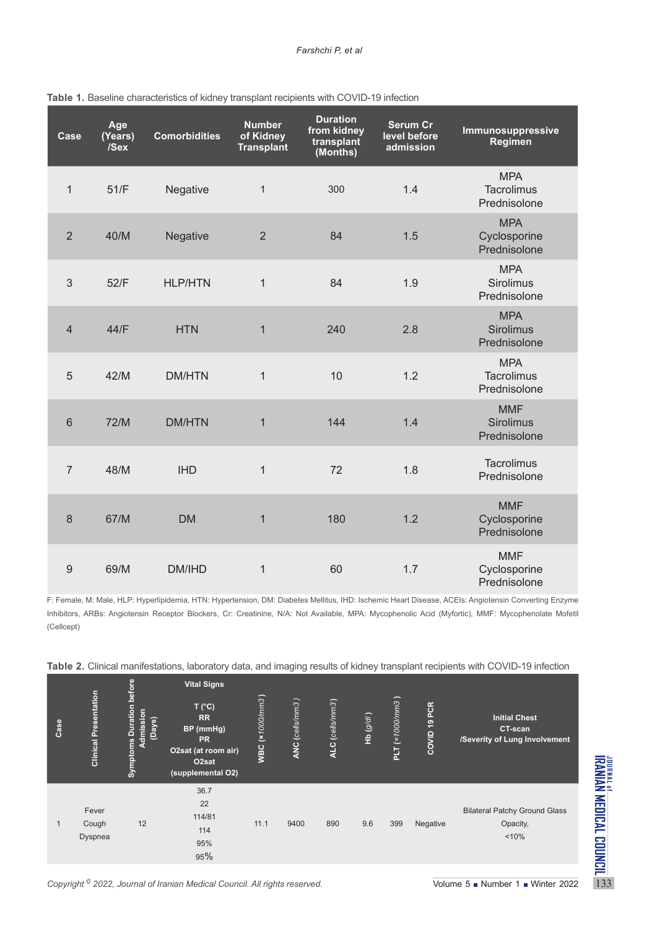| Case           | Age<br>(Years)<br>/Sex | <b>Comorbidities</b> | <b>Number</b><br>of Kidney<br><b>Transplant</b> | <b>Duration</b><br>from kidney<br>transplant<br>(Months) | <b>Serum Cr</b><br>level before<br>admission | Immunosuppressive<br>Regimen                    |
|----------------|------------------------|----------------------|-------------------------------------------------|----------------------------------------------------------|----------------------------------------------|-------------------------------------------------|
| $\mathbf{1}$   | 51/F                   | Negative             | $\mathbf{1}$                                    | 300                                                      | 1.4                                          | <b>MPA</b><br><b>Tacrolimus</b><br>Prednisolone |
| $\overline{2}$ | 40/M                   | Negative             | $\overline{2}$                                  | 84                                                       | 1.5                                          | <b>MPA</b><br>Cyclosporine<br>Prednisolone      |
| 3              | 52/F                   | <b>HLP/HTN</b>       | $\mathbf{1}$                                    | 84                                                       | 1.9                                          | <b>MPA</b><br><b>Sirolimus</b><br>Prednisolone  |
| $\overline{4}$ | 44/F                   | <b>HTN</b>           | $\mathbf{1}$                                    | 240                                                      | 2.8                                          | <b>MPA</b><br><b>Sirolimus</b><br>Prednisolone  |
| 5              | 42/M                   | <b>DM/HTN</b>        | $\mathbf 1$                                     | 10                                                       | 1.2                                          | <b>MPA</b><br>Tacrolimus<br>Prednisolone        |
| 6              | 72/M                   | <b>DM/HTN</b>        | $\mathbf{1}$                                    | 144                                                      | 1.4                                          | <b>MMF</b><br><b>Sirolimus</b><br>Prednisolone  |
| $\overline{7}$ | 48/M                   | <b>IHD</b>           | $\mathbf{1}$                                    | 72                                                       | 1.8                                          | <b>Tacrolimus</b><br>Prednisolone               |
| 8              | 67/M                   | <b>DM</b>            | $\mathbf{1}$                                    | 180                                                      | 1.2                                          | <b>MMF</b><br>Cyclosporine<br>Prednisolone      |
| 9              | 69/M                   | DM/IHD               | $\mathbf{1}$                                    | 60                                                       | 1.7                                          | <b>MMF</b><br>Cyclosporine<br>Prednisolone      |

#### **Table 1.** Baseline characteristics of kidney transplant recipients with COVID-19 infection

F: Female, M: Male, HLP: Hyperlipidemia, HTN: Hypertension, DM: Diabetes Mellitus, IHD: Ischemic Heart Disease, ACEIs: Angiotensin Converting Enzyme Inhibitors, ARBs: Angiotensin Receptor Blockers, Cr: Creatinine, N/A: Not Available, MPA: Mycophenolic Acid (Myfortic), MMF: Mycophenolate Mofetil (Cellcept)

| Case                                                                                                                                                 | <b>Clinical Presentation</b> | efore<br><b>Symptoms Duration</b><br>sion<br>(Days)<br><b>Admiss</b> | <b>Vital Signs</b><br>T (°C)<br><b>RR</b><br>BP (mmHg)<br><b>PR</b><br>O2sat (at room air)<br>O <sub>2</sub> sat<br>(supplemental O2) | <b>WBC</b> (x1000/mm3) | <b>ANC</b> (cells/mm3) | ALC (cells/mm3) | Hb(g/dI) | PLT(x1000mm3) | COVID 19 PCR | <b>Initial Chest</b><br>CT-scan<br>/Severity of Lung Involvement                                                            |
|------------------------------------------------------------------------------------------------------------------------------------------------------|------------------------------|----------------------------------------------------------------------|---------------------------------------------------------------------------------------------------------------------------------------|------------------------|------------------------|-----------------|----------|---------------|--------------|-----------------------------------------------------------------------------------------------------------------------------|
| $\overline{1}$                                                                                                                                       | Fever<br>Cough<br>Dyspnea    | 12                                                                   | 36.7<br>22<br>114/81<br>114<br>95%<br>95%                                                                                             | 11.1                   | 9400                   | 890             | 9.6      | 399           | Negative     | JOURNAL of <b>MEDICAL</b><br>IRANIAN MEDICAL<br><b>Bilateral Patchy Ground Glass</b><br>Opacity,<br>< 10%<br><b>TIONNOT</b> |
| Copyright <sup>©</sup> 2022, Journal of Iranian Medical Council. All rights reserved.<br>Volume $5 \blacksquare$ Number $1 \blacksquare$ Winter 2022 |                              |                                                                      |                                                                                                                                       |                        |                        |                 |          |               |              |                                                                                                                             |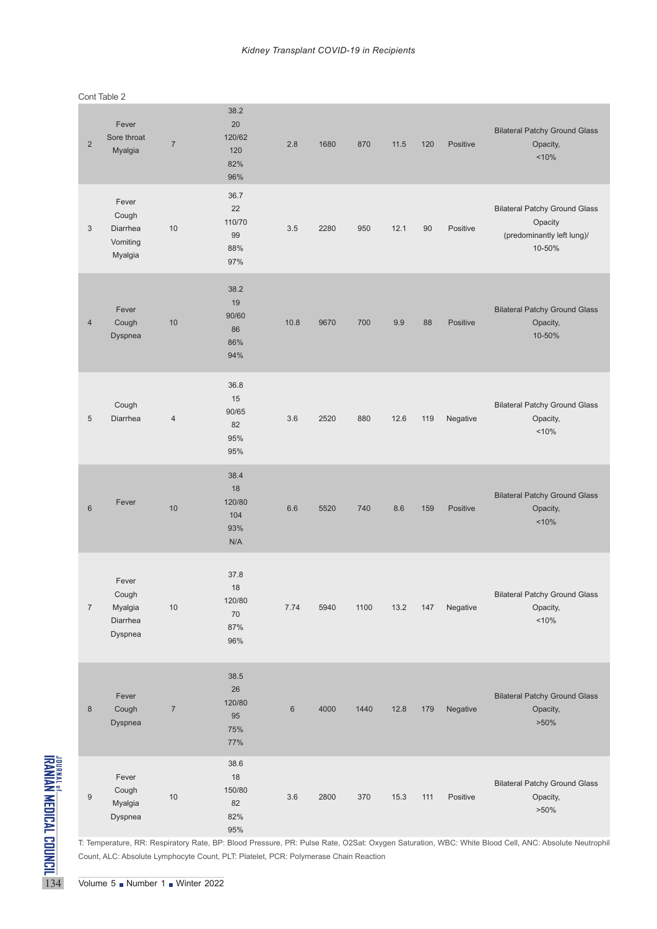|                                                     | $\overline{2}$   | Fever<br>Sore throat<br>Myalgia                   | $\overline{7}$ | 38.2<br>20<br>120/62<br>120<br>82%<br>96%                                            | 2.8   | 1680 | 870  | 11.5 | 120 | Positive | <b>Bilateral Patchy Ground Glass</b><br>Opacity,<br>< 10%                                                                                         |
|-----------------------------------------------------|------------------|---------------------------------------------------|----------------|--------------------------------------------------------------------------------------|-------|------|------|------|-----|----------|---------------------------------------------------------------------------------------------------------------------------------------------------|
|                                                     | $\mathfrak{Z}$   | Fever<br>Cough<br>Diarrhea<br>Vomiting<br>Myalgia | 10             | 36.7<br>22<br>110/70<br>99<br>88%<br>97%                                             | 3.5   | 2280 | 950  | 12.1 | 90  | Positive | <b>Bilateral Patchy Ground Glass</b><br>Opacity<br>(predominantly left lung)/<br>10-50%                                                           |
|                                                     | $\overline{4}$   | Fever<br>Cough<br>Dyspnea                         | 10             | 38.2<br>19<br>90/60<br>86<br>86%<br>94%                                              | 10.8  | 9670 | 700  | 9.9  | 88  | Positive | <b>Bilateral Patchy Ground Glass</b><br>Opacity,<br>10-50%                                                                                        |
|                                                     | 5                | Cough<br>Diarrhea                                 | $\overline{4}$ | 36.8<br>15<br>90/65<br>82<br>95%<br>95%                                              | 3.6   | 2520 | 880  | 12.6 | 119 | Negative | <b>Bilateral Patchy Ground Glass</b><br>Opacity,<br>< 10%                                                                                         |
|                                                     | $6\phantom{1}6$  | Fever                                             | 10             | 38.4<br>18<br>120/80<br>104<br>93%<br>N/A                                            | 6.6   | 5520 | 740  | 8.6  | 159 | Positive | <b>Bilateral Patchy Ground Glass</b><br>Opacity,<br>$~10\%$                                                                                       |
|                                                     | $\boldsymbol{7}$ | Fever<br>Cough<br>Myalgia<br>Diarrhea<br>Dyspnea  | 10             | 37.8<br>18<br>120/80<br>$70\,$<br>87%<br>96%                                         | 7.74  | 5940 | 1100 | 13.2 | 147 | Negative | <b>Bilateral Patchy Ground Glass</b><br>Opacity,<br>$~10\%$                                                                                       |
|                                                     | $\bf 8$          | Fever<br>Cough<br><b>Dyspnea</b>                  | $\overline{7}$ | 38.5<br>26<br>120/80<br>95<br>75%<br>77%                                             | $6\,$ | 4000 | 1440 | 12.8 | 179 | Negative | <b>Bilateral Patchy Ground Glass</b><br>Opacity,<br>$>50\%$                                                                                       |
| <b>TEANINA MEDICAL COUNCIL</b><br>Henric Council Co | $\boldsymbol{9}$ | Fever<br>Cough<br>Myalgia<br>Dyspnea              | $10$           | 38.6<br>$18$<br>150/80<br>82<br>82%<br>95%                                           | 3.6   | 2800 | 370  | 15.3 | 111 | Positive | <b>Bilateral Patchy Ground Glass</b><br>Opacity,<br>$>50\%$                                                                                       |
|                                                     |                  | Volume 5 Number 1 Winter 2022                     |                | Count, ALC: Absolute Lymphocyte Count, PLT: Platelet, PCR: Polymerase Chain Reaction |       |      |      |      |     |          | T: Temperature, RR: Respiratory Rate, BP: Blood Pressure, PR: Pulse Rate, O2Sat: Oxygen Saturation, WBC: White Blood Cell, ANC: Absolute Neutroph |

Cont Table 2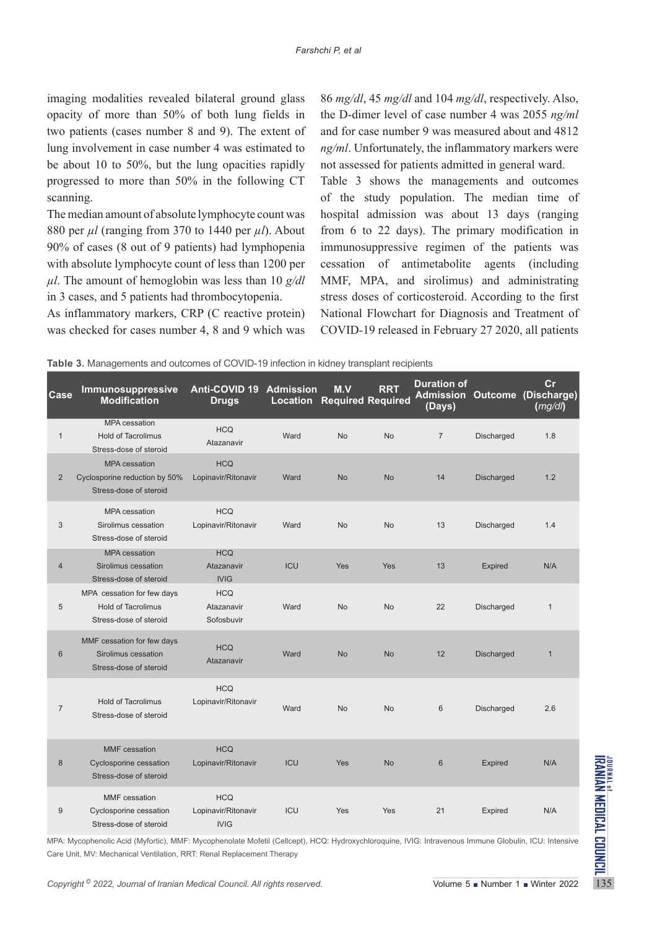imaging modalities revealed bilateral ground glass opacity of more than 50% of both lung fields in two patients (cases number 8 and 9). The extent of lung involvement in case number 4 was estimated to be about 10 to 50%, but the lung opacities rapidly progressed to more than 50% in the following CT scanning.

The median amount of absolute lymphocyte count was 880 per *µl* (ranging from 370 to 1440 per *µl*). About 90% of cases (8 out of 9 patients) had lymphopenia with absolute lymphocyte count of less than 1200 per *µl*. The amount of hemoglobin was less than 10 *g/dl* in 3 cases, and 5 patients had thrombocytopenia.

As inflammatory markers, CRP (C reactive protein) was checked for cases number 4, 8 and 9 which was

86 *mg/dl*, 45 *mg/dl* and 104 *mg/dl*, respectively. Also, the D-dimer level of case number 4 was 2055 *ng/ml* and for case number 9 was measured about and 4812 *ng/ml*. Unfortunately, the inflammatory markers were not assessed for patients admitted in general ward.

Table 3 shows the managements and outcomes of the study population. The median time of hospital admission was about 13 days (ranging from 6 to 22 days). The primary modification in immunosuppressive regimen of the patients was cessation of antimetabolite agents (including MMF, MPA, and sirolimus) and administrating stress doses of corticosteroid. According to the first National Flowchart for Diagnosis and Treatment of COVID-19 released in February 27 2020, all patients

| Case           | Immunosuppressive<br><b>Modification</b>                                                                                                                                                                                      | Anti-COVID 19 Admission<br><b>Drugs</b>          |            | M.V<br><b>Location Required Required</b> | <b>RRT</b> | <b>Duration of</b><br>(Days) |                   | cr<br>Admission Outcome (Discharge)<br>(mg/dl) |
|----------------|-------------------------------------------------------------------------------------------------------------------------------------------------------------------------------------------------------------------------------|--------------------------------------------------|------------|------------------------------------------|------------|------------------------------|-------------------|------------------------------------------------|
| $\mathbf{1}$   | <b>MPA</b> cessation<br><b>Hold of Tacrolimus</b><br>Stress-dose of steroid                                                                                                                                                   | <b>HCQ</b><br>Atazanavir                         | Ward       | <b>No</b>                                | <b>No</b>  | $\overline{7}$               | Discharged        | 1.8                                            |
| $\overline{2}$ | <b>MPA</b> cessation<br>Cyclosporine reduction by 50%<br>Stress-dose of steroid                                                                                                                                               | <b>HCQ</b><br>Lopinavir/Ritonavir                | Ward       | <b>No</b>                                | No         | 14                           | Discharged        | 1.2                                            |
| 3              | <b>MPA</b> cessation<br>Sirolimus cessation<br>Stress-dose of steroid                                                                                                                                                         | <b>HCQ</b><br>Lopinavir/Ritonavir                | Ward       | <b>No</b>                                | No         | 13                           | Discharged        | 1.4                                            |
| 4              | <b>MPA</b> cessation<br>Sirolimus cessation<br>Stress-dose of steroid                                                                                                                                                         | <b>HCQ</b><br>Atazanavir<br><b>IVIG</b>          | <b>ICU</b> | Yes                                      | Yes        | 13                           | <b>Expired</b>    | N/A                                            |
| 5              | MPA cessation for few days<br><b>Hold of Tacrolimus</b><br>Stress-dose of steroid                                                                                                                                             | <b>HCQ</b><br>Atazanavir<br>Sofosbuvir           | Ward       | <b>No</b>                                | No         | 22                           | Discharged        | $\mathbf{1}$                                   |
| 6              | MMF cessation for few days<br>Sirolimus cessation<br>Stress-dose of steroid                                                                                                                                                   | <b>HCQ</b><br>Atazanavir                         | Ward       | <b>No</b>                                | <b>No</b>  | 12                           | <b>Discharged</b> | $\mathbf{1}$                                   |
| 7              | <b>Hold of Tacrolimus</b><br>Stress-dose of steroid                                                                                                                                                                           | <b>HCQ</b><br>Lopinavir/Ritonavir                | Ward       | <b>No</b>                                | No         | $6\,$                        | Discharged        | 2.6                                            |
| 8              | <b>MMF</b> cessation<br>Cyclosporine cessation<br>Stress-dose of steroid                                                                                                                                                      | <b>HCQ</b><br>Lopinavir/Ritonavir                | <b>ICU</b> | Yes                                      | No         | $6\phantom{1}$               | <b>Expired</b>    | N/A                                            |
| 9              | <b>MMF</b> cessation<br>Cyclosporine cessation<br>Stress-dose of steroid                                                                                                                                                      | <b>HCQ</b><br>Lopinavir/Ritonavir<br><b>IVIG</b> | ICU        | Yes                                      | Yes        | 21                           | Expired           | N/A                                            |
|                | MPA: Mycophenolic Acid (Myfortic), MMF: Mycophenolate Mofetil (Cellcept), HCQ: Hydroxychloroquine, IVIG: Intravenous Immune Globulin, ICU: Intensive<br>Care Unit, MV: Mechanical Ventilation, RRT: Renal Replacement Therapy |                                                  |            |                                          |            |                              |                   |                                                |
|                | Copyright <sup>©</sup> 2022, Journal of Iranian Medical Council. All rights reserved.                                                                                                                                         |                                                  |            | Volume 5 Number 1 Winter 2022            |            |                              |                   |                                                |

**Table 3.** Managements and outcomes of COVID-19 infection in kidney transplant recipients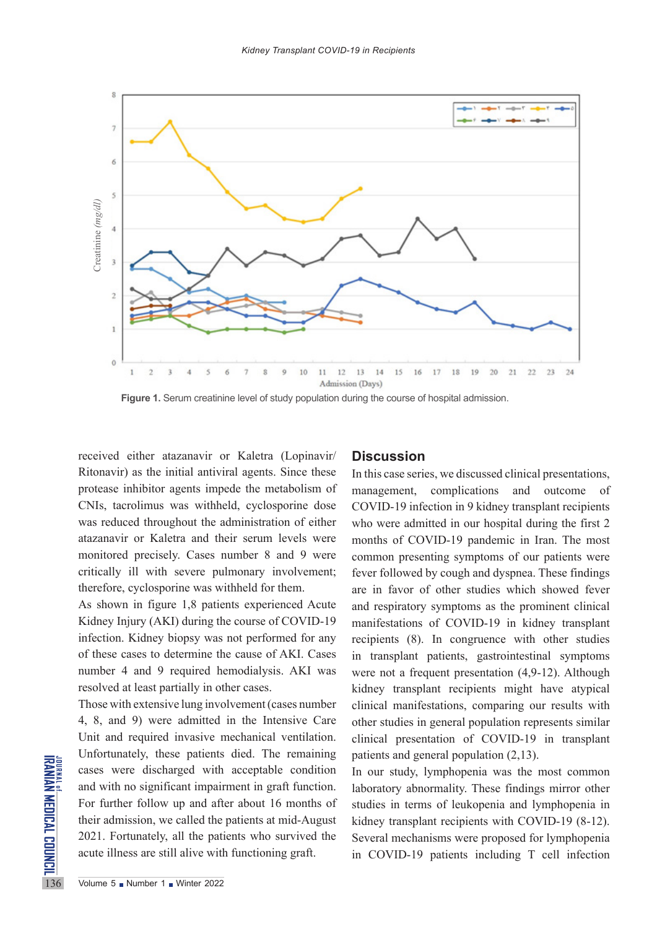

Figure 1. Serum creatinine level of study population during the course of hospital admission.

received either atazanavir or Kaletra (Lopinavir/ Ritonavir) as the initial antiviral agents. Since these protease inhibitor agents impede the metabolism of CNIs, tacrolimus was withheld, cyclosporine dose was reduced throughout the administration of either atazanavir or Kaletra and their serum levels were monitored precisely. Cases number 8 and 9 were critically ill with severe pulmonary involvement; therefore, cyclosporine was withheld for them.

As shown in figure 1,8 patients experienced Acute Kidney Injury (AKI) during the course of COVID-19 infection. Kidney biopsy was not performed for any of these cases to determine the cause of AKI. Cases number 4 and 9 required hemodialysis. AKI was resolved at least partially in other cases.

Example 1.1 Controllately, these patients<br>
and with no significant impair<br>
For further follow up and aft<br>
their admission, we called the<br>
2021. Fortunately, all the pat<br>
acute illness are still alive with<br>
Volume 5 • Numbe Those with extensive lung involvement (cases number 4, 8, and 9) were admitted in the Intensive Care Unit and required invasive mechanical ventilation. Unfortunately, these patients died. The remaining cases were discharged with acceptable condition and with no significant impairment in graft function. For further follow up and after about 16 months of their admission, we called the patients at mid-August 2021. Fortunately, all the patients who survived the acute illness are still alive with functioning graft.

### **Discussion**

In this case series, we discussed clinical presentations, management, complications and outcome of COVID-19 infection in 9 kidney transplant recipients who were admitted in our hospital during the first 2 months of COVID-19 pandemic in Iran. The most common presenting symptoms of our patients were fever followed by cough and dyspnea. These findings are in favor of other studies which showed fever and respiratory symptoms as the prominent clinical manifestations of COVID-19 in kidney transplant recipients (8). In congruence with other studies in transplant patients, gastrointestinal symptoms were not a frequent presentation (4,9-12). Although kidney transplant recipients might have atypical clinical manifestations, comparing our results with other studies in general population represents similar clinical presentation of COVID-19 in transplant patients and general population (2,13).

In our study, lymphopenia was the most common laboratory abnormality. These findings mirror other studies in terms of leukopenia and lymphopenia in kidney transplant recipients with COVID-19 (8-12). Several mechanisms were proposed for lymphopenia in COVID-19 patients including T cell infection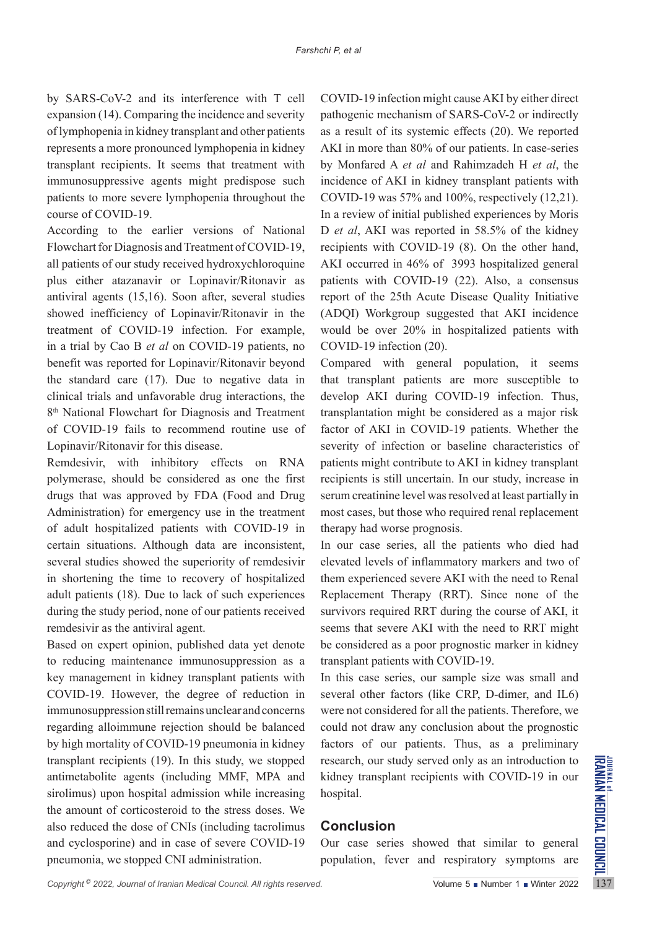by SARS-CoV-2 and its interference with T cell expansion (14). Comparing the incidence and severity of lymphopenia in kidney transplant and other patients represents a more pronounced lymphopenia in kidney transplant recipients. It seems that treatment with immunosuppressive agents might predispose such patients to more severe lymphopenia throughout the course of COVID-19.

According to the earlier versions of National Flowchart for Diagnosis and Treatment of COVID-19, all patients of our study received hydroxychloroquine plus either atazanavir or Lopinavir/Ritonavir as antiviral agents (15,16). Soon after, several studies showed inefficiency of Lopinavir/Ritonavir in the treatment of COVID-19 infection. For example, in a trial by Cao B *et al* on COVID-19 patients, no benefit was reported for Lopinavir/Ritonavir beyond the standard care (17). Due to negative data in clinical trials and unfavorable drug interactions, the 8<sup>th</sup> National Flowchart for Diagnosis and Treatment of COVID-19 fails to recommend routine use of Lopinavir/Ritonavir for this disease.

Remdesivir, with inhibitory effects on RNA polymerase, should be considered as one the first drugs that was approved by FDA (Food and Drug Administration) for emergency use in the treatment of adult hospitalized patients with COVID-19 in certain situations. Although data are inconsistent, several studies showed the superiority of remdesivir in shortening the time to recovery of hospitalized adult patients (18). Due to lack of such experiences during the study period, none of our patients received remdesivir as the antiviral agent.

Based on expert opinion, published data yet denote to reducing maintenance immunosuppression as a key management in kidney transplant patients with COVID-19. However, the degree of reduction in immunosuppression still remains unclear and concerns regarding alloimmune rejection should be balanced by high mortality of COVID-19 pneumonia in kidney transplant recipients (19). In this study, we stopped antimetabolite agents (including MMF, MPA and sirolimus) upon hospital admission while increasing the amount of corticosteroid to the stress doses. We also reduced the dose of CNIs (including tacrolimus and cyclosporine) and in case of severe COVID-19 pneumonia, we stopped CNI administration.

COVID-19 infection might cause AKI by either direct pathogenic mechanism of SARS-CoV-2 or indirectly as a result of its systemic effects (20). We reported AKI in more than 80% of our patients. In case-series by Monfared A *et al* and Rahimzadeh H *et al*, the incidence of AKI in kidney transplant patients with COVID-19 was 57% and 100%, respectively (12,21). In a review of initial published experiences by Moris D *et al*, AKI was reported in 58.5% of the kidney recipients with COVID-19 (8). On the other hand, AKI occurred in 46% of 3993 hospitalized general patients with COVID-19 (22). Also, a consensus report of the 25th Acute Disease Quality Initiative (ADQI) Workgroup suggested that AKI incidence would be over 20% in hospitalized patients with COVID-19 infection (20).

Compared with general population, it seems that transplant patients are more susceptible to develop AKI during COVID-19 infection. Thus, transplantation might be considered as a major risk factor of AKI in COVID-19 patients. Whether the severity of infection or baseline characteristics of patients might contribute to AKI in kidney transplant recipients is still uncertain. In our study, increase in serum creatinine level was resolved at least partially in most cases, but those who required renal replacement therapy had worse prognosis.

In our case series, all the patients who died had elevated levels of inflammatory markers and two of them experienced severe AKI with the need to Renal Replacement Therapy (RRT). Since none of the survivors required RRT during the course of AKI, it seems that severe AKI with the need to RRT might be considered as a poor prognostic marker in kidney transplant patients with COVID-19.

In this case series, our sample size was small and several other factors (like CRP, D-dimer, and IL6) were not considered for all the patients. Therefore, we could not draw any conclusion about the prognostic factors of our patients. Thus, as a preliminary research, our study served only as an introduction to kidney transplant recipients with COVID-19 in our hospital.

## **Conclusion**

Our case series showed that similar to general population, fever and respiratory symptoms are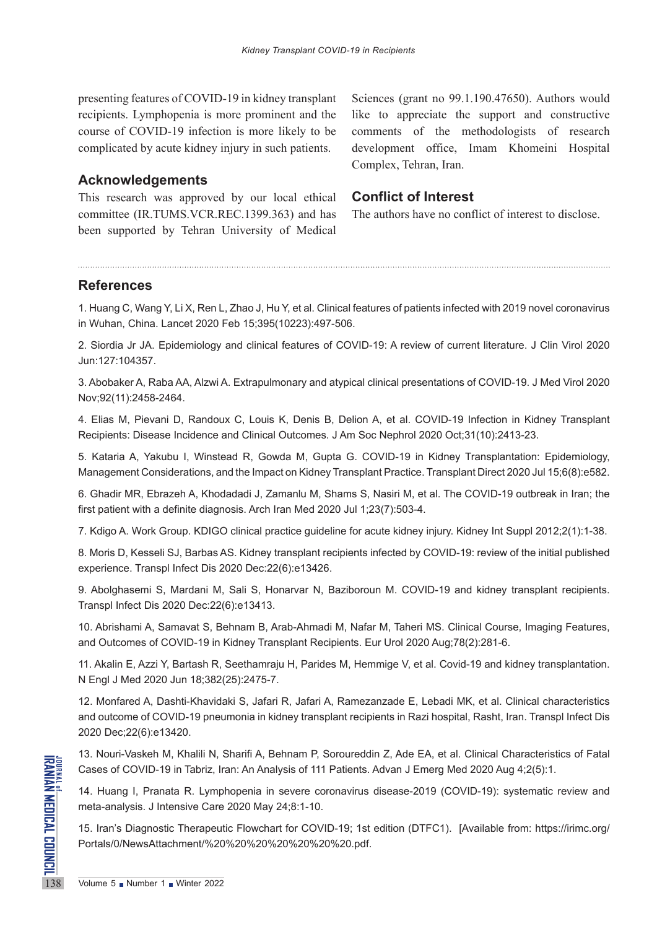presenting features of COVID-19 in kidney transplant recipients. Lymphopenia is more prominent and the course of COVID-19 infection is more likely to be complicated by acute kidney injury in such patients.

**Acknowledgements** 

This research was approved by our local ethical committee (IR.TUMS.VCR.REC.1399.363) and has been supported by Tehran University of Medical

Sciences (grant no 99.1.190.47650). Authors would like to appreciate the support and constructive comments of the methodologists of research development office, Imam Khomeini Hospital Complex, Tehran, Iran.

## **Conflict of Interest**

The authors have no conflict of interest to disclose.

# **References**

1. Huang C, Wang Y, Li X, Ren L, Zhao J, Hu Y, et al. Clinical features of patients infected with 2019 novel coronavirus in Wuhan, China. Lancet 2020 Feb 15;395(10223):497-506.

2. Siordia Jr JA. Epidemiology and clinical features of COVID-19: A review of current literature. J Clin Virol 2020 Jun:127:104357.

3. Abobaker A, Raba AA, Alzwi A. Extrapulmonary and atypical clinical presentations of COVID-19. J Med Virol 2020 Nov;92(11):2458-2464.

4. Elias M, Pievani D, Randoux C, Louis K, Denis B, Delion A, et al. COVID-19 Infection in Kidney Transplant Recipients: Disease Incidence and Clinical Outcomes. J Am Soc Nephrol 2020 Oct;31(10):2413-23.

5. Kataria A, Yakubu I, Winstead R, Gowda M, Gupta G. COVID-19 in Kidney Transplantation: Epidemiology, Management Considerations, and the Impact on Kidney Transplant Practice. Transplant Direct 2020 Jul 15;6(8):e582.

6. Ghadir MR, Ebrazeh A, Khodadadi J, Zamanlu M, Shams S, Nasiri M, et al. The COVID-19 outbreak in Iran; the first patient with a definite diagnosis. Arch Iran Med 2020 Jul 1;23(7):503-4.

7. Kdigo A. Work Group. KDIGO clinical practice guideline for acute kidney injury. Kidney Int Suppl 2012;2(1):1-38.

8. Moris D, Kesseli SJ, Barbas AS. Kidney transplant recipients infected by COVID-19: review of the initial published experience. Transpl Infect Dis 2020 Dec:22(6):e13426.

9. Abolghasemi S, Mardani M, Sali S, Honarvar N, Baziboroun M. COVID-19 and kidney transplant recipients. Transpl Infect Dis 2020 Dec:22(6):e13413.

10. Abrishami A, Samavat S, Behnam B, Arab-Ahmadi M, Nafar M, Taheri MS. Clinical Course, Imaging Features, and Outcomes of COVID-19 in Kidney Transplant Recipients. Eur Urol 2020 Aug;78(2):281-6.

11. Akalin E, Azzi Y, Bartash R, Seethamraju H, Parides M, Hemmige V, et al. Covid-19 and kidney transplantation. N Engl J Med 2020 Jun 18;382(25):2475-7.

12. Monfared A, Dashti-Khavidaki S, Jafari R, Jafari A, Ramezanzade E, Lebadi MK, et al. Clinical characteristics and outcome of COVID-19 pneumonia in kidney transplant recipients in Razi hospital, Rasht, Iran. Transpl Infect Dis 2020 Dec;22(6):e13420.

13. Nouri-Vaskeh M, Khalili N, Sharifi A, Behnam P, Soroureddin Z, Ade EA, et al. Clinical Characteristics of Fatal Cases of COVID-19 in Tabriz, Iran: An Analysis of 111 Patients. Advan J Emerg Med 2020 Aug 4;2(5):1.

THE STRING IN THE TIME TO STATE THE TIME THE TIME THE TIME THE TIME THE TIME THE TIME THE TIME THE TIME THE TIME THE TIME THANG AND PORTOR THANG THE PORTOR THANG THE PORTOR THANG THE TIME THE VISITED THANG THE TIME THE TIM 14. Huang I, Pranata R. Lymphopenia in severe coronavirus disease-2019 (COVID-19): systematic review and meta-analysis. J Intensive Care 2020 May 24;8:1-10.

15. Iran's Diagnostic Therapeutic Flowchart for COVID-19; 1st edition (DTFC1). [Available from: [https://irimc.org/](https://irimc.org/Portals/0/NewsAttachment/%20%20%20%20%20%20%20.pdf) [Portals/0/NewsAttachment/%20%20%20%20%20%20%20.pdf](https://irimc.org/Portals/0/NewsAttachment/%20%20%20%20%20%20%20.pdf).